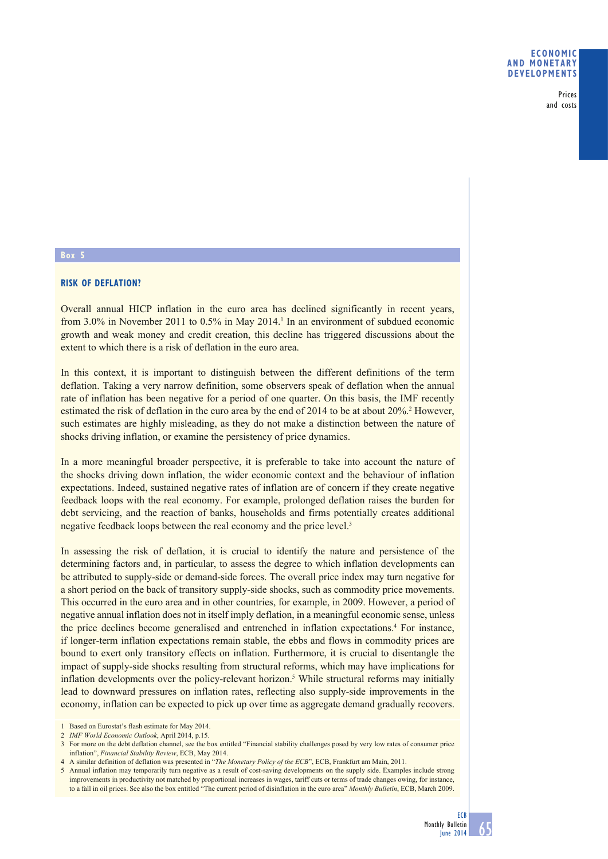Prices and costs

### **Box 5**

# **RISK OF DEFLATION?**

Overall annual HICP inflation in the euro area has declined significantly in recent years, from  $3.0\%$  in November 2011 to  $0.5\%$  in May 2014.<sup>1</sup> In an environment of subdued economic growth and weak money and credit creation, this decline has triggered discussions about the extent to which there is a risk of deflation in the euro area.

In this context, it is important to distinguish between the different definitions of the term deflation. Taking a very narrow definition, some observers speak of deflation when the annual rate of inflation has been negative for a period of one quarter. On this basis, the IMF recently estimated the risk of deflation in the euro area by the end of 2014 to be at about 20%.<sup>2</sup> However, such estimates are highly misleading, as they do not make a distinction between the nature of shocks driving inflation, or examine the persistency of price dynamics.

In a more meaningful broader perspective, it is preferable to take into account the nature of the shocks driving down inflation, the wider economic context and the behaviour of inflation expectations. Indeed, sustained negative rates of inflation are of concern if they create negative feedback loops with the real economy. For example, prolonged deflation raises the burden for debt servicing, and the reaction of banks, households and firms potentially creates additional negative feedback loops between the real economy and the price level.<sup>3</sup>

In assessing the risk of deflation, it is crucial to identify the nature and persistence of the determining factors and, in particular, to assess the degree to which inflation developments can be attributed to supply-side or demand-side forces. The overall price index may turn negative for a short period on the back of transitory supply-side shocks, such as commodity price movements. This occurred in the euro area and in other countries, for example, in 2009. However, a period of negative annual inflation does not in itself imply deflation, in a meaningful economic sense, unless the price declines become generalised and entrenched in inflation expectations.4 For instance, if longer-term inflation expectations remain stable, the ebbs and flows in commodity prices are bound to exert only transitory effects on inflation. Furthermore, it is crucial to disentangle the impact of supply-side shocks resulting from structural reforms, which may have implications for inflation developments over the policy-relevant horizon.<sup>5</sup> While structural reforms may initially lead to downward pressures on inflation rates, reflecting also supply-side improvements in the economy, inflation can be expected to pick up over time as aggregate demand gradually recovers.

<sup>1</sup> Based on Eurostat's flash estimate for May 2014.

<sup>2</sup> *IMF World Economic Outlook*, April 2014, p.15.

<sup>3</sup> For more on the debt deflation channel, see the box entitled "Financial stability challenges posed by very low rates of consumer price inflation", *Financial Stability Review*, ECB, May 2014.

<sup>4</sup> A similar definition of deflation was presented in "*The Monetary Policy of the ECB*", ECB, Frankfurt am Main, 2011.

<sup>5</sup> Annual inflation may temporarily turn negative as a result of cost-saving developments on the supply side. Examples include strong improvements in productivity not matched by proportional increases in wages, tariff cuts or terms of trade changes owing, for instance, to a fall in oil prices. See also the box entitled "The current period of disinflation in the euro area" *Monthly Bulletin*, ECB, March 2009.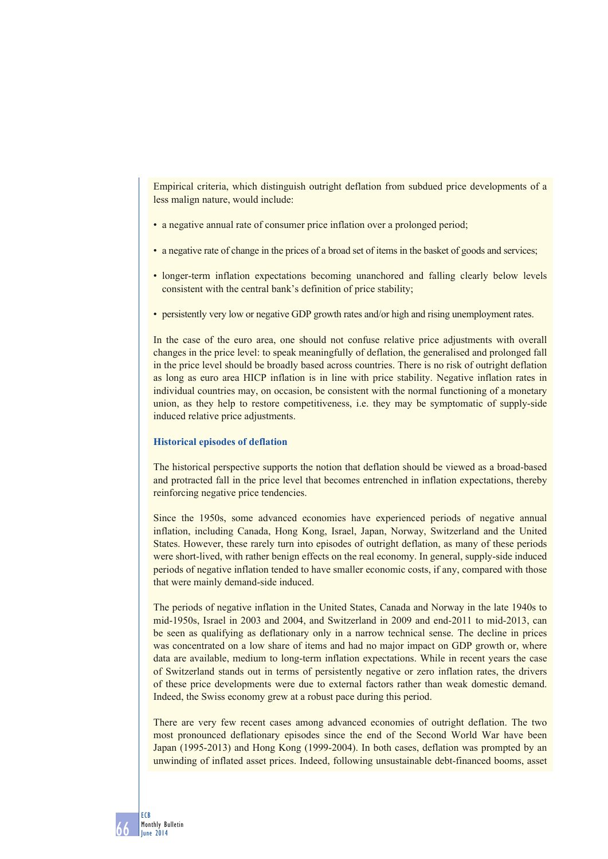Empirical criteria, which distinguish outright deflation from subdued price developments of a less malign nature, would include:

- a negative annual rate of consumer price inflation over a prolonged period;
- a negative rate of change in the prices of a broad set of items in the basket of goods and services;
- longer-term inflation expectations becoming unanchored and falling clearly below levels consistent with the central bank's definition of price stability;
- persistently very low or negative GDP growth rates and/or high and rising unemployment rates.

In the case of the euro area, one should not confuse relative price adjustments with overall changes in the price level: to speak meaningfully of deflation, the generalised and prolonged fall in the price level should be broadly based across countries. There is no risk of outright deflation as long as euro area HICP inflation is in line with price stability. Negative inflation rates in individual countries may, on occasion, be consistent with the normal functioning of a monetary union, as they help to restore competitiveness, i.e. they may be symptomatic of supply-side induced relative price adjustments.

## **Historical episodes of deflation**

The historical perspective supports the notion that deflation should be viewed as a broad-based and protracted fall in the price level that becomes entrenched in inflation expectations, thereby reinforcing negative price tendencies.

Since the 1950s, some advanced economies have experienced periods of negative annual inflation, including Canada, Hong Kong, Israel, Japan, Norway, Switzerland and the United States. However, these rarely turn into episodes of outright deflation, as many of these periods were short-lived, with rather benign effects on the real economy. In general, supply-side induced periods of negative inflation tended to have smaller economic costs, if any, compared with those that were mainly demand-side induced.

The periods of negative inflation in the United States, Canada and Norway in the late 1940s to mid-1950s, Israel in 2003 and 2004, and Switzerland in 2009 and end-2011 to mid-2013, can be seen as qualifying as deflationary only in a narrow technical sense. The decline in prices was concentrated on a low share of items and had no major impact on GDP growth or, where data are available, medium to long-term inflation expectations. While in recent years the case of Switzerland stands out in terms of persistently negative or zero inflation rates, the drivers of these price developments were due to external factors rather than weak domestic demand. Indeed, the Swiss economy grew at a robust pace during this period.

There are very few recent cases among advanced economies of outright deflation. The two most pronounced deflationary episodes since the end of the Second World War have been Japan (1995-2013) and Hong Kong (1999-2004). In both cases, deflation was prompted by an unwinding of inflated asset prices. Indeed, following unsustainable debt-financed booms, asset

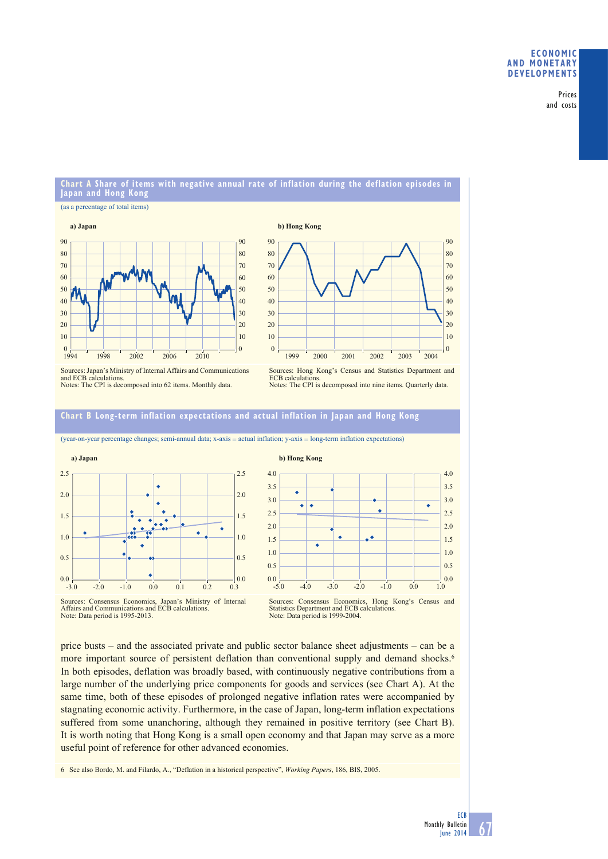Prices and costs

## **Chart A Share of items with negative annual rate of inflation during the deflation episodes in Japan and Hong Kong**

#### (as a percentage of total items)





Sources: Japan's Ministry of Internal Affairs and Communications and ECB calculations. Notes: The CPI is decomposed into 62 items. Monthly data.



### **Chart B Long-term inflation expectations and actual inflation in Japan and Hong Kong**



(year-on-year percentage changes; semi-annual data; x-axis = actual inflation; y-axis = long-term inflation expectations)



Sources: Consensus Economics, Japan's Ministry of Internal Affairs and Communications and ECB calculations. Note: Data period is 1995-2013.

price busts – and the associated private and public sector balance sheet adjustments – can be a more important source of persistent deflation than conventional supply and demand shocks.<sup>6</sup> In both episodes, deflation was broadly based, with continuously negative contributions from a large number of the underlying price components for goods and services (see Chart A). At the same time, both of these episodes of prolonged negative inflation rates were accompanied by stagnating economic activity. Furthermore, in the case of Japan, long-term inflation expectations suffered from some unanchoring, although they remained in positive territory (see Chart B). It is worth noting that Hong Kong is a small open economy and that Japan may serve as a more useful point of reference for other advanced economies.

6 See also Bordo, M. and Filardo, A., "Deflation in a historical perspective", *Working Papers*, 186, BIS, 2005.

Sources: Consensus Economics, Hong Kong's Census and Statistics Department and ECB calculations. Note: Data period is 1999-2004.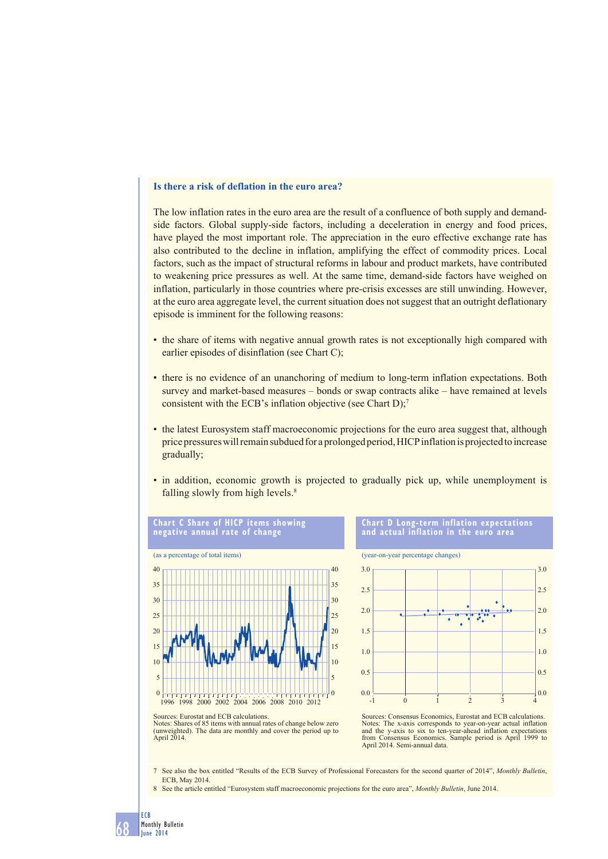### **Is there a risk of deflation in the euro area?**

The low inflation rates in the euro area are the result of a confluence of both supply and demandside factors. Global supply-side factors, including a deceleration in energy and food prices, have played the most important role. The appreciation in the euro effective exchange rate has also contributed to the decline in inflation, amplifying the effect of commodity prices. Local factors, such as the impact of structural reforms in labour and product markets, have contributed to weakening price pressures as well. At the same time, demand-side factors have weighed on inflation, particularly in those countries where pre-crisis excesses are still unwinding. However, at the euro area aggregate level, the current situation does not suggest that an outright deflationary episode is imminent for the following reasons:

- the share of items with negative annual growth rates is not exceptionally high compared with earlier episodes of disinflation (see Chart C);
- there is no evidence of an unanchoring of medium to long-term inflation expectations. Both survey and market-based measures – bonds or swap contracts alike – have remained at levels consistent with the ECB's inflation objective (see Chart  $D$ );<sup>7</sup>
- the latest Eurosystem staff macroeconomic projections for the euro area suggest that, although price pressures will remain subdued for a prolonged period, HICP inflation is projected to increase gradually;
- in addition, economic growth is projected to gradually pick up, while unemployment is falling slowly from high levels.<sup>8</sup>



Sources: Eurostat and ECB calculations.

Sources: Consensus Economics, Eurostat and ECB calculations. Notes: The x-axis corresponds to year-on-year actual inflation and the y-axis to six to ten-year-ahead inflation expectations from Consensus Economics. Sample period is April 1999 to April 2014. Semi-annual data.

(year-on-year percentage changes)

**Chart D Long-term inflation expectations and actual inflation in the euro area**

 $-1$  0 1 2 3 4

 $\frac{1}{4}$  0.0

0.5

1.0

1.5 2.0

2.5 3.0

Notes: Shares of 85 items with annual rates of change below zero (unweighted). The data are monthly and cover the period up to April 2014.

7 See also the box entitled "Results of the ECB Survey of Professional Forecasters for the second quarter of 2014", *Monthly Bulletin*, ECB, May 2014.

0.0

0.5

1.0

1.5 2.0

 $2.5$ 3.0

8 See the article entitled "Eurosystem staff macroeconomic projections for the euro area", *Monthly Bulletin*, June 2014.